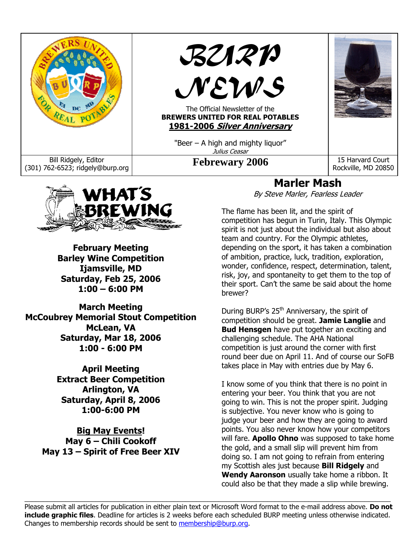



**February Meeting Barley Wine Competition Ijamsville, MD Saturday, Feb 25, 2006 1:00 – 6:00 PM** 

**March Meeting McCoubrey Memorial Stout Competition McLean, VA Saturday, Mar 18, 2006 1:00 - 6:00 PM** 

> **April Meeting Extract Beer Competition Arlington, VA Saturday, April 8, 2006 1:00-6:00 PM**

**Big May Events! May 6 – Chili Cookoff May 13 – Spirit of Free Beer XIV** 

# **Marler Mash**

By Steve Marler, Fearless Leader

The flame has been lit, and the spirit of competition has begun in Turin, Italy. This Olympic spirit is not just about the individual but also about team and country. For the Olympic athletes, depending on the sport, it has taken a combination of ambition, practice, luck, tradition, exploration, wonder, confidence, respect, determination, talent, risk, joy, and spontaneity to get them to the top of their sport. Can't the same be said about the home brewer?

During BURP's 25<sup>th</sup> Anniversary, the spirit of competition should be great. **Jamie Langlie** and **Bud Hensgen** have put together an exciting and challenging schedule. The AHA National competition is just around the corner with first round beer due on April 11. And of course our SoFB takes place in May with entries due by May 6.

I know some of you think that there is no point in entering your beer. You think that you are not going to win. This is not the proper spirit. Judging is subjective. You never know who is going to judge your beer and how they are going to award points. You also never know how your competitors will fare. **Apollo Ohno** was supposed to take home the gold, and a small slip will prevent him from doing so. I am not going to refrain from entering my Scottish ales just because **Bill Ridgely** and **Wendy Aaronson** usually take home a ribbon. It could also be that they made a slip while brewing.

Please submit all articles for publication in either plain text or Microsoft Word format to the e-mail address above. **Do not include graphic files**. Deadline for articles is 2 weeks before each scheduled BURP meeting unless otherwise indicated. Changes to membership records should be sent to membership@burp.org.

 $\_$  , and the state of the state of the state of the state of the state of the state of the state of the state of the state of the state of the state of the state of the state of the state of the state of the state of the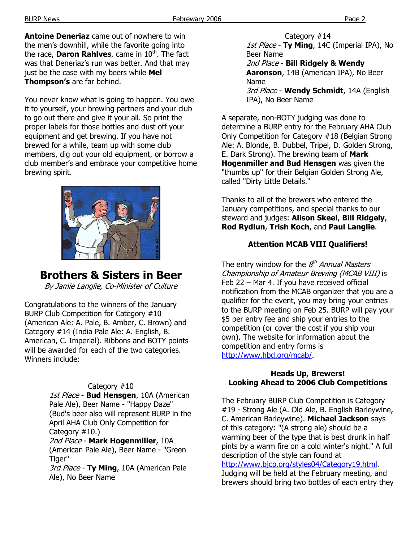**Antoine Deneriaz** came out of nowhere to win the men's downhill, while the favorite going into the race, **Daron Rahlves**, came in 10<sup>th</sup>. The fact was that Deneriaz's run was better. And that may just be the case with my beers while **Mel Thompson's** are far behind.

You never know what is going to happen. You owe it to yourself, your brewing partners and your club to go out there and give it your all. So print the proper labels for those bottles and dust off your equipment and get brewing. If you have not brewed for a while, team up with some club members, dig out your old equipment, or borrow a club member's and embrace your competitive home brewing spirit.



# **Brothers & Sisters in Beer**

By Jamie Langlie, Co-Minister of Culture

Congratulations to the winners of the January BURP Club Competition for Category #10 (American Ale: A. Pale, B. Amber, C. Brown) and Category #14 (India Pale Ale: A. English, B. American, C. Imperial). Ribbons and BOTY points will be awarded for each of the two categories. Winners include:

#### Category #10

1st Place - **Bud Hensgen**, 10A (American Pale Ale), Beer Name - "Happy Daze" (Bud's beer also will represent BURP in the April AHA Club Only Competition for Category #10.)

2nd Place - **Mark Hogenmiller**, 10A (American Pale Ale), Beer Name - "Green Tiger"

3rd Place - **Ty Ming**, 10A (American Pale Ale), No Beer Name

Category #14 1st Place - **Ty Ming**, 14C (Imperial IPA), No Beer Name 2nd Place - **Bill Ridgely & Wendy Aaronson**, 14B (American IPA), No Beer Name

3rd Place - **Wendy Schmidt**, 14A (English IPA), No Beer Name

A separate, non-BOTY judging was done to determine a BURP entry for the February AHA Club Only Competition for Category #18 (Belgian Strong Ale: A. Blonde, B. Dubbel, Tripel, D. Golden Strong, E. Dark Strong). The brewing team of **Mark Hogenmiller and Bud Hensgen** was given the "thumbs up" for their Belgian Golden Strong Ale, called "Dirty Little Details."

Thanks to all of the brewers who entered the January competitions, and special thanks to our steward and judges: **Alison Skeel**, **Bill Ridgely**, **Rod Rydlun**, **Trish Koch**, and **Paul Langlie**.

## **Attention MCAB VIII Qualifiers!**

The entry window for the  $8<sup>th</sup>$  Annual Masters Championship of Amateur Brewing (MCAB VIII) is Feb 22 – Mar 4. If you have received official notification from the MCAB organizer that you are a qualifier for the event, you may bring your entries to the BURP meeting on Feb 25. BURP will pay your \$5 per entry fee and ship your entries to the competition (or cover the cost if you ship your own). The website for information about the competition and entry forms is http://www.hbd.org/mcab/.

### **Heads Up, Brewers! Looking Ahead to 2006 Club Competitions**

The February BURP Club Competition is Category #19 - Strong Ale (A. Old Ale, B. English Barleywine, C. American Barleywine). **Michael Jackson** says of this category: "(A strong ale) should be a warming beer of the type that is best drunk in half pints by a warm fire on a cold winter's night." A full description of the style can found at

http://www.bjcp.org/styles04/Category19.html.

Judging will be held at the February meeting, and brewers should bring two bottles of each entry they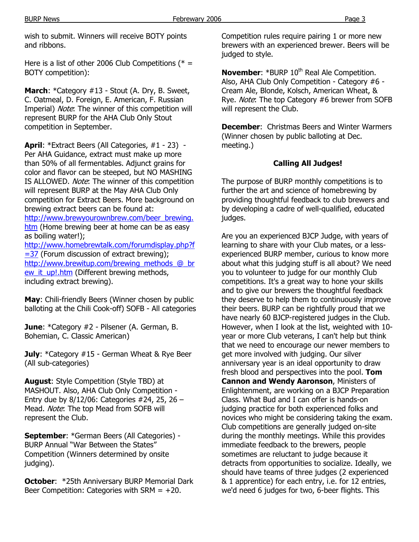wish to submit. Winners will receive BOTY points and ribbons.

Here is a list of other 2006 Club Competitions ( $* =$ BOTY competition):

**March**: \*Category #13 - Stout (A. Dry, B. Sweet, C. Oatmeal, D. Foreign, E. American, F. Russian Imperial) Note: The winner of this competition will represent BURP for the AHA Club Only Stout competition in September.

**April**: \*Extract Beers (All Categories, #1 - 23) - Per AHA Guidance, extract must make up more than 50% of all fermentables. Adjunct grains for color and flavor can be steeped, but NO MASHING IS ALLOWED. Note: The winner of this competition will represent BURP at the May AHA Club Only competition for Extract Beers. More background on brewing extract beers can be found at:

http://www.brewyourownbrew.com/beer\_brewing. htm (Home brewing beer at home can be as easy as boiling water!);

http://www.homebrewtalk.com/forumdisplay.php?f  $=$  37 (Forum discussion of extract brewing); http://www.brewitup.com/brewing\_methods\_@\_br ew it up!.htm (Different brewing methods, including extract brewing).

**May**: Chili-friendly Beers (Winner chosen by public balloting at the Chili Cook-off) SOFB - All categories

**June**: \*Category #2 - Pilsener (A. German, B. Bohemian, C. Classic American)

**July:** \*Category #15 - German Wheat & Rye Beer (All sub-categories)

**August**: Style Competition (Style TBD) at MASHOUT. Also, AHA Club Only Competition - Entry due by 8/12/06: Categories #24, 25, 26 – Mead. Note: The top Mead from SOFB will represent the Club.

**September**: \*German Beers (All Categories) - BURP Annual "War Between the States" Competition (Winners determined by onsite judging).

**October**: \*25th Anniversary BURP Memorial Dark Beer Competition: Categories with  $SRM = +20$ .

Competition rules require pairing 1 or more new brewers with an experienced brewer. Beers will be judged to style.

**November: \*BURP 10<sup>th</sup> Real Ale Competition.** Also, AHA Club Only Competition - Category #6 - Cream Ale, Blonde, Kolsch, American Wheat, & Rye. Note: The top Category #6 brewer from SOFB will represent the Club.

**December**: Christmas Beers and Winter Warmers (Winner chosen by public balloting at Dec. meeting.)

#### **Calling All Judges!**

The purpose of BURP monthly competitions is to further the art and science of homebrewing by providing thoughtful feedback to club brewers and by developing a cadre of well-qualified, educated judges.

Are you an experienced BJCP Judge, with years of learning to share with your Club mates, or a lessexperienced BURP member, curious to know more about what this judging stuff is all about? We need you to volunteer to judge for our monthly Club competitions. It's a great way to hone your skills and to give our brewers the thoughtful feedback they deserve to help them to continuously improve their beers. BURP can be rightfully proud that we have nearly 60 BJCP-registered judges in the Club. However, when I look at the list, weighted with 10 year or more Club veterans, I can't help but think that we need to encourage our newer members to get more involved with judging. Our silver anniversary year is an ideal opportunity to draw fresh blood and perspectives into the pool. **Tom Cannon and Wendy Aaronson**, Ministers of Enlightenment, are working on a BJCP Preparation Class. What Bud and I can offer is hands-on judging practice for both experienced folks and novices who might be considering taking the exam. Club competitions are generally judged on-site during the monthly meetings. While this provides immediate feedback to the brewers, people sometimes are reluctant to judge because it detracts from opportunities to socialize. Ideally, we should have teams of three judges (2 experienced & 1 apprentice) for each entry, i.e. for 12 entries, we'd need 6 judges for two, 6-beer flights. This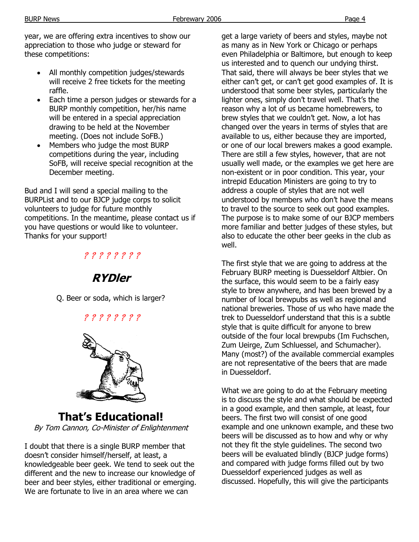year, we are offering extra incentives to show our appreciation to those who judge or steward for these competitions:

- All monthly competition judges/stewards will receive 2 free tickets for the meeting raffle.
- Each time a person judges or stewards for a BURP monthly competition, her/his name will be entered in a special appreciation drawing to be held at the November meeting. (Does not include SoFB.)
- Members who judge the most BURP competitions during the year, including SoFB, will receive special recognition at the December meeting.

Bud and I will send a special mailing to the BURPList and to our BJCP judge corps to solicit volunteers to judge for future monthly competitions. In the meantime, please contact us if you have questions or would like to volunteer. Thanks for your support!

## ? ? ? ? ? ? ? ?



Q. Beer or soda, which is larger?

? ? ? ? ? ? ? ?



### **That's Educational!**  By Tom Cannon, Co-Minister of Enlightenment

I doubt that there is a single BURP member that doesn't consider himself/herself, at least, a knowledgeable beer geek. We tend to seek out the different and the new to increase our knowledge of beer and beer styles, either traditional or emerging. We are fortunate to live in an area where we can

get a large variety of beers and styles, maybe not as many as in New York or Chicago or perhaps even Philadelphia or Baltimore, but enough to keep us interested and to quench our undying thirst. That said, there will always be beer styles that we either can't get, or can't get good examples of. It is understood that some beer styles, particularly the lighter ones, simply don't travel well. That's the reason why a lot of us became homebrewers, to brew styles that we couldn't get. Now, a lot has changed over the years in terms of styles that are available to us, either because they are imported, or one of our local brewers makes a good example. There are still a few styles, however, that are not usually well made, or the examples we get here are non-existent or in poor condition. This year, your intrepid Education Ministers are going to try to address a couple of styles that are not well understood by members who don't have the means to travel to the source to seek out good examples. The purpose is to make some of our BJCP members more familiar and better judges of these styles, but also to educate the other beer geeks in the club as well.

The first style that we are going to address at the February BURP meeting is Duesseldorf Altbier. On the surface, this would seem to be a fairly easy style to brew anywhere, and has been brewed by a number of local brewpubs as well as regional and national breweries. Those of us who have made the trek to Duesseldorf understand that this is a subtle style that is quite difficult for anyone to brew outside of the four local brewpubs (Im Fuchschen, Zum Ueirge, Zum Schluessel, and Schumacher). Many (most?) of the available commercial examples are not representative of the beers that are made in Duesseldorf.

What we are going to do at the February meeting is to discuss the style and what should be expected in a good example, and then sample, at least, four beers. The first two will consist of one good example and one unknown example, and these two beers will be discussed as to how and why or why not they fit the style guidelines. The second two beers will be evaluated blindly (BJCP judge forms) and compared with judge forms filled out by two Duesseldorf experienced judges as well as discussed. Hopefully, this will give the participants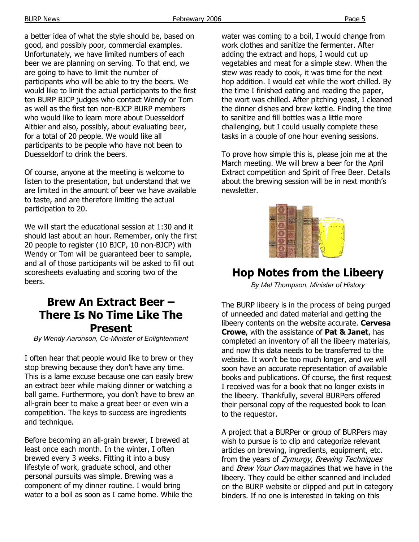a better idea of what the style should be, based on good, and possibly poor, commercial examples. Unfortunately, we have limited numbers of each beer we are planning on serving. To that end, we are going to have to limit the number of participants who will be able to try the beers. We would like to limit the actual participants to the first ten BURP BJCP judges who contact Wendy or Tom as well as the first ten non-BJCP BURP members who would like to learn more about Duesseldorf Altbier and also, possibly, about evaluating beer, for a total of 20 people. We would like all participants to be people who have not been to Duesseldorf to drink the beers.

Of course, anyone at the meeting is welcome to listen to the presentation, but understand that we are limited in the amount of beer we have available to taste, and are therefore limiting the actual participation to 20.

We will start the educational session at 1:30 and it should last about an hour. Remember, only the first 20 people to register (10 BJCP, 10 non-BJCP) with Wendy or Tom will be guaranteed beer to sample, and all of those participants will be asked to fill out scoresheets evaluating and scoring two of the beers.

## **Brew An Extract Beer – There Is No Time Like The Present**

*By Wendy Aaronson, Co-Minister of Enlightenment* 

I often hear that people would like to brew or they stop brewing because they don't have any time. This is a lame excuse because one can easily brew an extract beer while making dinner or watching a ball game. Furthermore, you don't have to brew an all-grain beer to make a great beer or even win a competition. The keys to success are ingredients and technique.

Before becoming an all-grain brewer, I brewed at least once each month. In the winter, I often brewed every 3 weeks. Fitting it into a busy lifestyle of work, graduate school, and other personal pursuits was simple. Brewing was a component of my dinner routine. I would bring water to a boil as soon as I came home. While the water was coming to a boil, I would change from work clothes and sanitize the fermenter. After adding the extract and hops, I would cut up vegetables and meat for a simple stew. When the stew was ready to cook, it was time for the next hop addition. I would eat while the wort chilled. By the time I finished eating and reading the paper, the wort was chilled. After pitching yeast, I cleaned the dinner dishes and brew kettle. Finding the time to sanitize and fill bottles was a little more challenging, but I could usually complete these tasks in a couple of one hour evening sessions.

To prove how simple this is, please join me at the March meeting. We will brew a beer for the April Extract competition and Spirit of Free Beer. Details about the brewing session will be in next month's newsletter.



## **Hop Notes from the Libeery**

*By Mel Thompson, Minister of History* 

The BURP libeery is in the process of being purged of unneeded and dated material and getting the libeery contents on the website accurate. **Cervesa Crowe**, with the assistance of **Pat & Janet**, has completed an inventory of all the libeery materials, and now this data needs to be transferred to the website. It won't be too much longer, and we will soon have an accurate representation of available books and publications. Of course, the first request I received was for a book that no longer exists in the libeery. Thankfully, several BURPers offered their personal copy of the requested book to loan to the requestor.

A project that a BURPer or group of BURPers may wish to pursue is to clip and categorize relevant articles on brewing, ingredients, equipment, etc. from the years of Zymurgy, Brewing Techniques and Brew Your Own magazines that we have in the libeery. They could be either scanned and included on the BURP website or clipped and put in category binders. If no one is interested in taking on this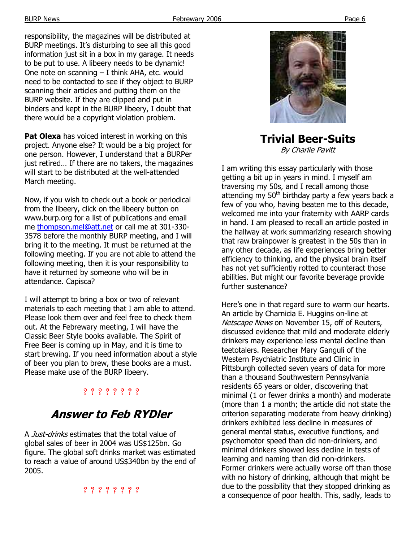responsibility, the magazines will be distributed at BURP meetings. It's disturbing to see all this good information just sit in a box in my garage. It needs to be put to use. A libeery needs to be dynamic! One note on scanning – I think AHA, etc. would need to be contacted to see if they object to BURP scanning their articles and putting them on the BURP website. If they are clipped and put in binders and kept in the BURP libeery, I doubt that there would be a copyright violation problem.

**Pat Olexa** has voiced interest in working on this project. Anyone else? It would be a big project for one person. However, I understand that a BURPer just retired… If there are no takers, the magazines will start to be distributed at the well-attended March meeting.

Now, if you wish to check out a book or periodical from the libeery, click on the libeery button on www.burp.org for a list of publications and email me thompson.mel@att.net or call me at 301-330- 3578 before the monthly BURP meeting, and I will bring it to the meeting. It must be returned at the following meeting. If you are not able to attend the following meeting, then it is your responsibility to have it returned by someone who will be in attendance. Capisca?

I will attempt to bring a box or two of relevant materials to each meeting that I am able to attend. Please look them over and feel free to check them out. At the Febrewary meeting, I will have the Classic Beer Style books available. The Spirit of Free Beer is coming up in May, and it is time to start brewing. If you need information about a style of beer you plan to brew, these books are a must. Please make use of the BURP libeery.

## ? ? ? ? ? ? ? ?

# **Answer to Feb RYDler**

A Just-drinks estimates that the total value of global sales of beer in 2004 was US\$125bn. Go figure. The global soft drinks market was estimated to reach a value of around US\$340bn by the end of 2005.

## ? ? ? ? ? ? ? ?



### **Trivial Beer-Suits**  By Charlie Pavitt

I am writing this essay particularly with those getting a bit up in years in mind. I myself am traversing my 50s, and I recall among those attending my  $50<sup>th</sup>$  birthday party a few years back a few of you who, having beaten me to this decade, welcomed me into your fraternity with AARP cards in hand. I am pleased to recall an article posted in the hallway at work summarizing research showing that raw brainpower is greatest in the 50s than in any other decade, as life experiences bring better efficiency to thinking, and the physical brain itself has not yet sufficiently rotted to counteract those abilities. But might our favorite beverage provide further sustenance?

Here's one in that regard sure to warm our hearts. An article by Charnicia E. Huggins on-line at Netscape News on November 15, off of Reuters, discussed evidence that mild and moderate elderly drinkers may experience less mental decline than teetotalers. Researcher Mary Ganguli of the Western Psychiatric Institute and Clinic in Pittsburgh collected seven years of data for more than a thousand Southwestern Pennsylvania residents 65 years or older, discovering that minimal (1 or fewer drinks a month) and moderate (more than 1 a month; the article did not state the criterion separating moderate from heavy drinking) drinkers exhibited less decline in measures of general mental status, executive functions, and psychomotor speed than did non-drinkers, and minimal drinkers showed less decline in tests of learning and naming than did non-drinkers. Former drinkers were actually worse off than those with no history of drinking, although that might be due to the possibility that they stopped drinking as a consequence of poor health. This, sadly, leads to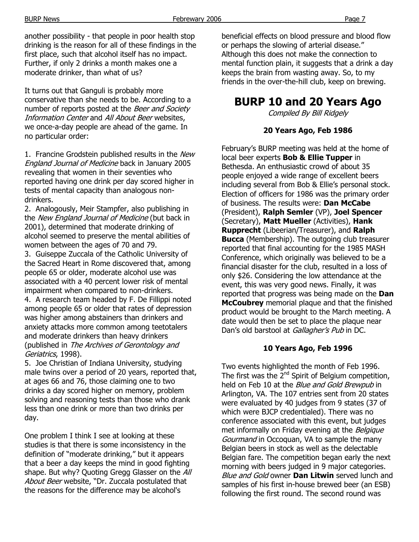another possibility - that people in poor health stop drinking is the reason for all of these findings in the first place, such that alcohol itself has no impact. Further, if only 2 drinks a month makes one a moderate drinker, than what of us?

It turns out that Ganguli is probably more conservative than she needs to be. According to a number of reports posted at the Beer and Society Information Center and All About Beer websites, we once-a-day people are ahead of the game. In no particular order:

1. Francine Grodstein published results in the New England Journal of Medicine back in January 2005 revealing that women in their seventies who reported having one drink per day scored higher in tests of mental capacity than analogous nondrinkers.

2. Analogously, Meir Stampfer, also publishing in the New England Journal of Medicine (but back in 2001), determined that moderate drinking of alcohol seemed to preserve the mental abilities of women between the ages of 70 and 79.

3. Guiseppe Zuccala of the Catholic University of the Sacred Heart in Rome discovered that, among people 65 or older, moderate alcohol use was associated with a 40 percent lower risk of mental impairment when compared to non-drinkers.

4. A research team headed by F. De Fillippi noted among people 65 or older that rates of depression was higher among abstainers than drinkers and anxiety attacks more common among teetotalers and moderate drinkers than heavy drinkers (published in The Archives of Gerontology and Geriatrics, 1998).

5. Joe Christian of Indiana University, studying male twins over a period of 20 years, reported that, at ages 66 and 76, those claiming one to two drinks a day scored higher on memory, problem solving and reasoning tests than those who drank less than one drink or more than two drinks per day.

One problem I think I see at looking at these studies is that there is some inconsistency in the definition of "moderate drinking," but it appears that a beer a day keeps the mind in good fighting shape. But why? Quoting Gregg Glasser on the All About Beer website, "Dr. Zuccala postulated that the reasons for the difference may be alcohol's

beneficial effects on blood pressure and blood flow or perhaps the slowing of arterial disease." Although this does not make the connection to mental function plain, it suggests that a drink a day keeps the brain from wasting away. So, to my friends in the over-the-hill club, keep on brewing.

# **BURP 10 and 20 Years Ago**

Compiled By Bill Ridgely

#### **20 Years Ago, Feb 1986**

February's BURP meeting was held at the home of local beer experts **Bob & Ellie Tupper** in Bethesda. An enthusiastic crowd of about 35 people enjoyed a wide range of excellent beers including several from Bob & Ellie's personal stock. Election of officers for 1986 was the primary order of business. The results were: **Dan McCabe**  (President), **Ralph Semler** (VP), **Joel Spencer**  (Secretary), **Matt Mueller** (Activities), **Hank Rupprecht** (Libeerian/Treasurer), and **Ralph Bucca** (Membership). The outgoing club treasurer reported that final accounting for the 1985 MASH Conference, which originally was believed to be a financial disaster for the club, resulted in a loss of only \$26. Considering the low attendance at the event, this was very good news. Finally, it was reported that progress was being made on the **Dan McCoubrey** memorial plaque and that the finished product would be brought to the March meeting. A date would then be set to place the plaque near Dan's old barstool at Gallagher's Pub in DC.

#### **10 Years Ago, Feb 1996**

Two events highlighted the month of Feb 1996. The first was the  $2^{nd}$  Spirit of Belgium competition, held on Feb 10 at the *Blue and Gold Brewpub* in Arlington, VA. The 107 entries sent from 20 states were evaluated by 40 judges from 9 states (37 of which were BJCP credentialed). There was no conference associated with this event, but judges met informally on Friday evening at the Belgique Gourmand in Occoquan, VA to sample the many Belgian beers in stock as well as the delectable Belgian fare. The competition began early the next morning with beers judged in 9 major categories. Blue and Gold owner **Dan Litwin** served lunch and samples of his first in-house brewed beer (an ESB) following the first round. The second round was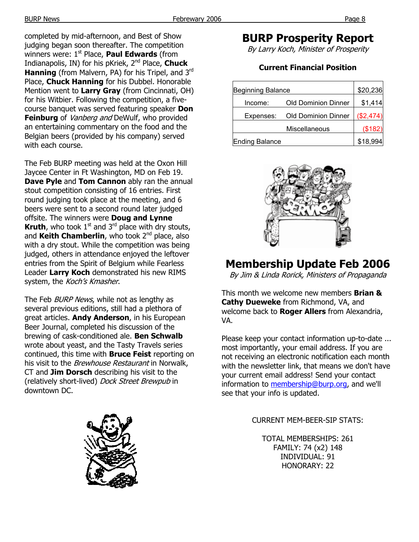completed by mid-afternoon, and Best of Show judging began soon thereafter. The competition winners were: 1<sup>st</sup> Place, **Paul Edwards** (from Indianapolis, IN) for his pKriek, 2nd Place, **Chuck Hanning** (from Malvern, PA) for his Tripel, and 3<sup>rd</sup> Place, **Chuck Hanning** for his Dubbel. Honorable Mention went to **Larry Gray** (from Cincinnati, OH) for his Witbier. Following the competition, a fivecourse banquet was served featuring speaker **Don Feinburg** of *Vanberg and* DeWulf, who provided an entertaining commentary on the food and the Belgian beers (provided by his company) served with each course.

The Feb BURP meeting was held at the Oxon Hill Jaycee Center in Ft Washington, MD on Feb 19. **Dave Pyle** and **Tom Cannon** ably ran the annual stout competition consisting of 16 entries. First round judging took place at the meeting, and 6 beers were sent to a second round later judged offsite. The winners were **Doug and Lynne Kruth**, who took  $1<sup>st</sup>$  and  $3<sup>rd</sup>$  place with dry stouts, and Keith Chamberlin, who took 2<sup>nd</sup> place, also with a dry stout. While the competition was being judged, others in attendance enjoyed the leftover entries from the Spirit of Belgium while Fearless Leader **Larry Koch** demonstrated his new RIMS system, the Koch's Kmasher.

The Feb *BURP News*, while not as lengthy as several previous editions, still had a plethora of great articles. **Andy Anderson**, in his European Beer Journal, completed his discussion of the brewing of cask-conditioned ale. **Ben Schwalb** wrote about yeast, and the Tasty Travels series continued, this time with **Bruce Feist** reporting on his visit to the *Brewhouse Restaurant* in Norwalk, CT and **Jim Dorsch** describing his visit to the (relatively short-lived) Dock Street Brewpub in downtown DC.



## **BURP Prosperity Report**

By Larry Koch, Minister of Prosperity

### **Current Financial Position**

| <b>Beginning Balance</b> |                            | \$20,236  |
|--------------------------|----------------------------|-----------|
| Income:                  | <b>Old Dominion Dinner</b> | \$1,414   |
| Expenses:                | <b>Old Dominion Dinner</b> | (\$2,474) |
|                          | Miscellaneous              | (\$182)   |
| <b>Ending Balance</b>    |                            | \$18,994  |



# **Membership Update Feb 2006**

By Jim & Linda Rorick, Ministers of Propaganda

This month we welcome new members **Brian & Cathy Dueweke** from Richmond, VA, and welcome back to **Roger Allers** from Alexandria, VA.

Please keep your contact information up-to-date ... most importantly, your email address. If you are not receiving an electronic notification each month with the newsletter link, that means we don't have your current email address! Send your contact information to membership@burp.org, and we'll see that your info is updated.

#### CURRENT MEM-BEER-SIP STATS:

TOTAL MEMBERSHIPS: 261 FAMILY: 74 (x2) 148 INDIVIDUAL: 91 HONORARY: 22